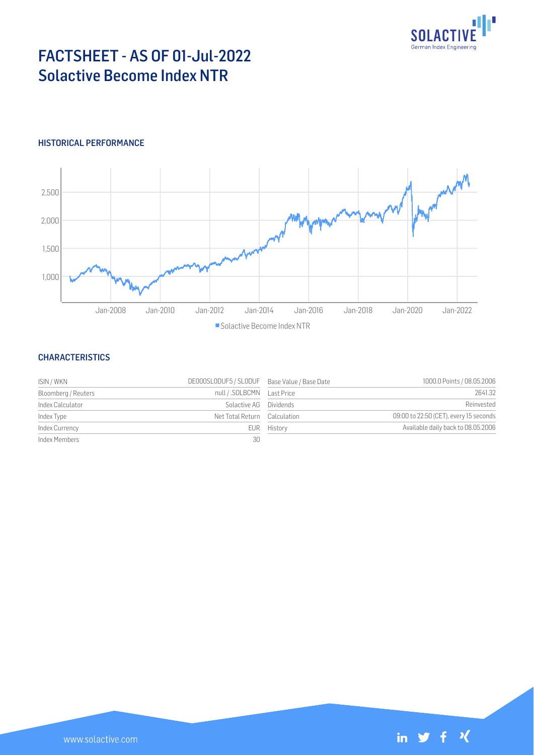

# FACTSHEET - AS OF 01-Jul-2022 Solactive Become Index NTR

# HISTORICAL PERFORMANCE



### **CHARACTERISTICS**

| ISIN / WKN          | DE000SLODUF5 / SLODUF Base Value / Base Date |             | 1000.0 Points / 08.05.2006             |
|---------------------|----------------------------------------------|-------------|----------------------------------------|
| Bloomberg / Reuters | null / .SOLBCMN    Last Price                |             | 2641.32                                |
| Index Calculator    | Solactive AG Dividends                       |             | Reinvested                             |
| Index Type          | Net Total Return Calculation                 |             | 09:00 to 22:50 (CET), every 15 seconds |
| Index Currency      |                                              | EUR History | Available daily back to 08.05.2006     |
| Index Members       | 30                                           |             |                                        |

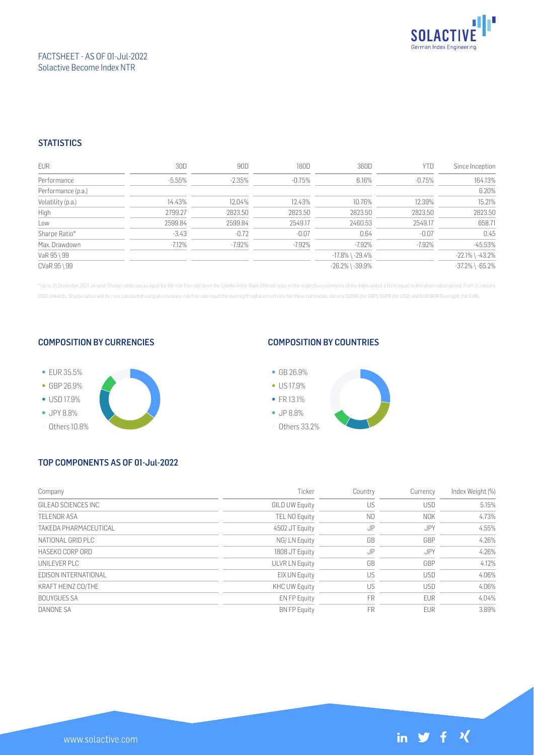

# FACTSHEET - AS OF 01-Jul-2022 Solactive Become Index NTR

# **STATISTICS**

| EUR                | 30D       | 90D       | 180D      | 360D                  | YTD       | Since Inception       |
|--------------------|-----------|-----------|-----------|-----------------------|-----------|-----------------------|
| Performance        | $-5.55\%$ | $-2.35%$  | $-0.75\%$ | 6.16%                 | $-0.75%$  | 164.13%               |
| Performance (p.a.) |           |           |           |                       |           | 6.20%                 |
| Volatility (p.a.)  | 14.43%    | 12.04%    | 12.43%    | 10.76%                | 12.39%    | 15.21%                |
| High               | 2799.27   | 2823.50   | 2823.50   | 2823.50               | 2823.50   | 2823.50               |
| Low                | 2599.84   | 2599.84   | 2549.17   | 2460.53               | 2549.17   | 658.71                |
| Sharpe Ratio*      | $-3.43$   | $-0.72$   | $-0.07$   | 0.64                  | $-0.07$   | 0.45                  |
| Max. Drawdown      | $-7.12\%$ | $-7.92\%$ | $-7.92%$  | $-7.92\%$             | $-7.92\%$ | $-45.53%$             |
| VaR 95 \ 99        |           |           |           | $-17.8\%$ \ $-29.4\%$ |           | $-22.1\%$ \ $-43.2\%$ |
| CVaR 95 \ 99       |           |           |           | $-26.2\%$ \ $-39.9\%$ |           | $-37.2\%$ \ $-65.2\%$ |

\* Up to 31 December 2021, ex-post Sharpe ratios use as input for the risk free rate term the London Inter-Bank Offered rates in the respective currencies of the index and at a term equal to the observation period. From 3 J 2022 onwards, Sharpe ratios will be / are calculated using as reference risk free rate input the overnight replacement rate for these currencies, namely SONIA (for GBP), SOFR (for USD) and EURIBOR Overnight (for EUR).

#### COMPOSITION BY CURRENCIES



## COMPOSITION BY COUNTRIES



# TOP COMPONENTS AS OF 01-Jul-2022

| Company               | Ticker               | Country        | Currency   | Index Weight (%) |
|-----------------------|----------------------|----------------|------------|------------------|
| GILFAD SCIENCES INC   | GILD UW Equity       | US             | <b>USD</b> | 5.15%            |
| <b>TELENOR ASA</b>    | TEL NO Equity        | N <sub>0</sub> | <b>NOK</b> | 4.73%            |
| TAKEDA PHARMACEUTICAL | 4502 JT Equity       | JP             | JPY        | 4.55%            |
| NATIONAL GRID PLC     | NG/LN Equity         | GB             | GBP        | 4.26%            |
| HASEKO CORP ORD       | 1808 JT Equity       | JP             | <b>JPY</b> | 4.26%            |
| UNILEVER PLC          | ULVR LN Equity       | GB             | GBP        | 4.12%            |
| FDISON INTERNATIONAL  | EIX UN Equity        | US             | <b>USD</b> | 4.06%            |
| KRAFT HEINZ CO/THE    | <b>KHC UW Equity</b> | US             | <b>USD</b> | 4.06%            |
| <b>BOUYGUES SA</b>    | EN FP Equity         | FR             | <b>EUR</b> | 4.04%            |
| DANONE SA             | <b>BN FP Equity</b>  | FR             | <b>EUR</b> | 3.89%            |